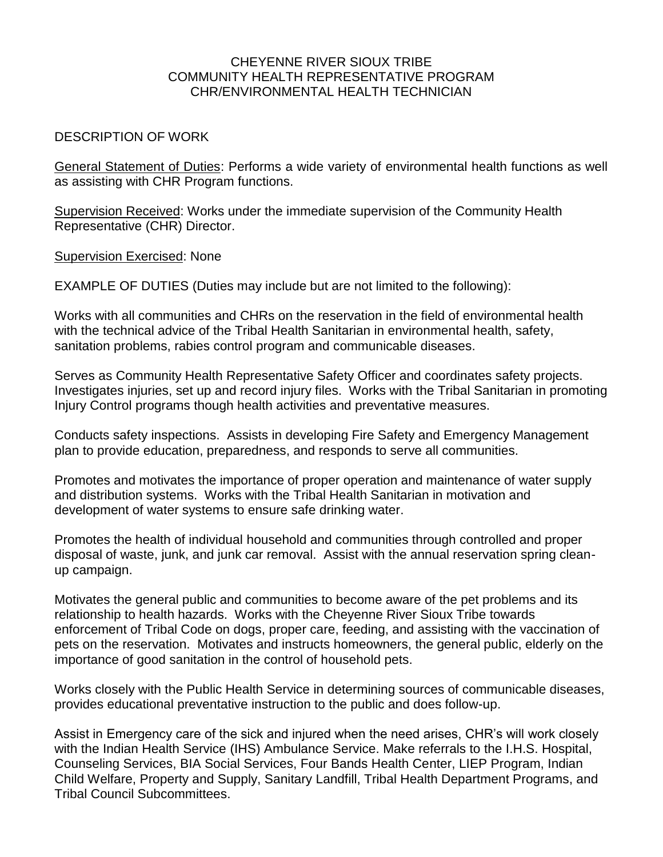## CHEYENNE RIVER SIOUX TRIBE COMMUNITY HEALTH REPRESENTATIVE PROGRAM CHR/ENVIRONMENTAL HEALTH TECHNICIAN

## DESCRIPTION OF WORK

General Statement of Duties: Performs a wide variety of environmental health functions as well as assisting with CHR Program functions.

Supervision Received: Works under the immediate supervision of the Community Health Representative (CHR) Director.

Supervision Exercised: None

EXAMPLE OF DUTIES (Duties may include but are not limited to the following):

Works with all communities and CHRs on the reservation in the field of environmental health with the technical advice of the Tribal Health Sanitarian in environmental health, safety, sanitation problems, rabies control program and communicable diseases.

Serves as Community Health Representative Safety Officer and coordinates safety projects. Investigates injuries, set up and record injury files. Works with the Tribal Sanitarian in promoting Injury Control programs though health activities and preventative measures.

Conducts safety inspections. Assists in developing Fire Safety and Emergency Management plan to provide education, preparedness, and responds to serve all communities.

Promotes and motivates the importance of proper operation and maintenance of water supply and distribution systems. Works with the Tribal Health Sanitarian in motivation and development of water systems to ensure safe drinking water.

Promotes the health of individual household and communities through controlled and proper disposal of waste, junk, and junk car removal. Assist with the annual reservation spring cleanup campaign.

Motivates the general public and communities to become aware of the pet problems and its relationship to health hazards. Works with the Cheyenne River Sioux Tribe towards enforcement of Tribal Code on dogs, proper care, feeding, and assisting with the vaccination of pets on the reservation. Motivates and instructs homeowners, the general public, elderly on the importance of good sanitation in the control of household pets.

Works closely with the Public Health Service in determining sources of communicable diseases, provides educational preventative instruction to the public and does follow-up.

Assist in Emergency care of the sick and injured when the need arises, CHR's will work closely with the Indian Health Service (IHS) Ambulance Service. Make referrals to the I.H.S. Hospital, Counseling Services, BIA Social Services, Four Bands Health Center, LIEP Program, Indian Child Welfare, Property and Supply, Sanitary Landfill, Tribal Health Department Programs, and Tribal Council Subcommittees.